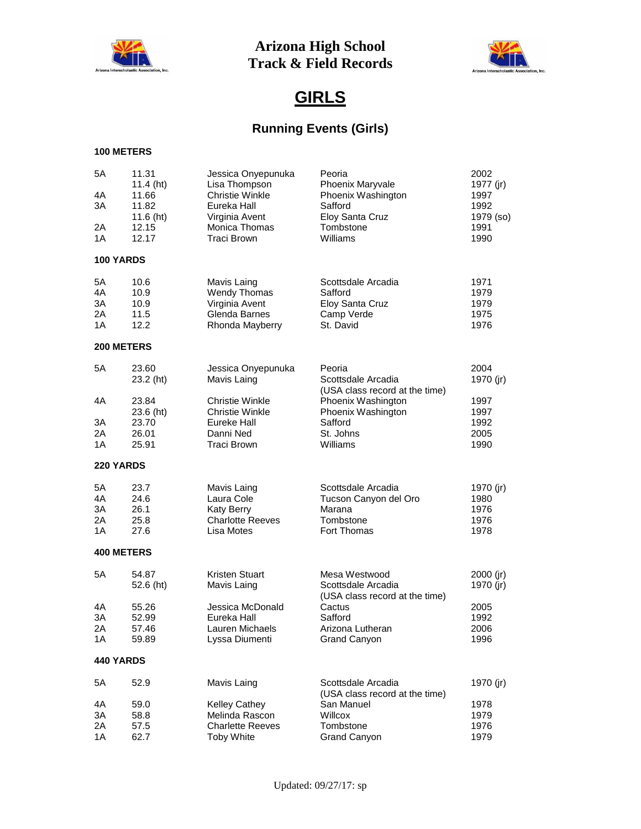



# **GIRLS**

# **Running Events (Girls)**

| 5A<br>4A<br>ЗA<br>2Α<br>1A | 11.31<br>11.4 (ht)<br>11.66<br>11.82<br>11.6 $(ht)$<br>12.15<br>12.17 | Jessica Onyepunuka<br>Lisa Thompson<br><b>Christie Winkle</b><br>Eureka Hall<br>Virginia Avent<br>Monica Thomas<br><b>Traci Brown</b> | Peoria<br>Phoenix Maryvale<br>Phoenix Washington<br>Safford<br>Eloy Santa Cruz<br>Tombstone<br>Williams | 2002<br>1977 (jr)<br>1997<br>1992<br>1979 (so)<br>1991<br>1990 |
|----------------------------|-----------------------------------------------------------------------|---------------------------------------------------------------------------------------------------------------------------------------|---------------------------------------------------------------------------------------------------------|----------------------------------------------------------------|
| 100 YARDS                  |                                                                       |                                                                                                                                       |                                                                                                         |                                                                |
| 5A<br>4A<br>3A<br>2Α<br>1A | 10.6<br>10.9<br>10.9<br>11.5<br>12.2                                  | Mavis Laing<br><b>Wendy Thomas</b><br>Virginia Avent<br>Glenda Barnes<br>Rhonda Mayberry                                              | Scottsdale Arcadia<br>Safford<br>Eloy Santa Cruz<br>Camp Verde<br>St. David                             | 1971<br>1979<br>1979<br>1975<br>1976                           |
|                            | 200 METERS                                                            |                                                                                                                                       |                                                                                                         |                                                                |
| 5A                         | 23.60<br>23.2 (ht)                                                    | Jessica Onyepunuka<br>Mavis Laing                                                                                                     | Peoria<br>Scottsdale Arcadia<br>(USA class record at the time)                                          | 2004<br>1970 (jr)                                              |
| 4A<br>ЗΑ<br>2A<br>1A       | 23.84<br>23.6 (ht)<br>23.70<br>26.01<br>25.91                         | Christie Winkle<br><b>Christie Winkle</b><br>Eureke Hall<br>Danni Ned<br>Traci Brown                                                  | Phoenix Washington<br>Phoenix Washington<br>Safford<br>St. Johns<br>Williams                            | 1997<br>1997<br>1992<br>2005<br>1990                           |
| 220 YARDS                  |                                                                       |                                                                                                                                       |                                                                                                         |                                                                |
| 5A<br>4A<br>3A<br>2Α<br>1A | 23.7<br>24.6<br>26.1<br>25.8<br>27.6                                  | Mavis Laing<br>Laura Cole<br><b>Katy Berry</b><br><b>Charlotte Reeves</b><br>Lisa Motes                                               | Scottsdale Arcadia<br>Tucson Canyon del Oro<br>Marana<br>Tombstone<br>Fort Thomas                       | 1970 (jr)<br>1980<br>1976<br>1976<br>1978                      |
|                            | <b>400 METERS</b>                                                     |                                                                                                                                       |                                                                                                         |                                                                |
| 5Α                         | 54.87<br>52.6 (ht)                                                    | Kristen Stuart<br>Mavis Laing                                                                                                         | Mesa Westwood<br>Scottsdale Arcadia<br>(USA class record at the time)                                   | $2000$ (jr)<br>1970 (jr)                                       |
| 4A<br>3A<br>2Α<br>1Α       | 55.26<br>52.99<br>57.46<br>59.89                                      | Jessica McDonald<br>Eureka Hall<br>Lauren Michaels<br>Lyssa Diumenti                                                                  | Cactus<br>Safford<br>Arizona Lutheran<br>Grand Canyon                                                   | 2005<br>1992<br>2006<br>1996                                   |
| <b>440 YARDS</b>           |                                                                       |                                                                                                                                       |                                                                                                         |                                                                |
| 5A                         | 52.9                                                                  | Mavis Laing                                                                                                                           | Scottsdale Arcadia<br>(USA class record at the time)                                                    | 1970 (jr)                                                      |
| 4A                         | 59.0                                                                  | Kelley Cathey                                                                                                                         | San Manuel                                                                                              | 1978                                                           |
| ЗA                         | 58.8                                                                  | Melinda Rascon                                                                                                                        | Willcox                                                                                                 | 1979                                                           |
| 2A<br>1A                   | 57.5<br>62.7                                                          | <b>Charlette Reeves</b><br><b>Toby White</b>                                                                                          | Tombstone<br>Grand Canyon                                                                               | 1976<br>1979                                                   |
|                            |                                                                       |                                                                                                                                       |                                                                                                         |                                                                |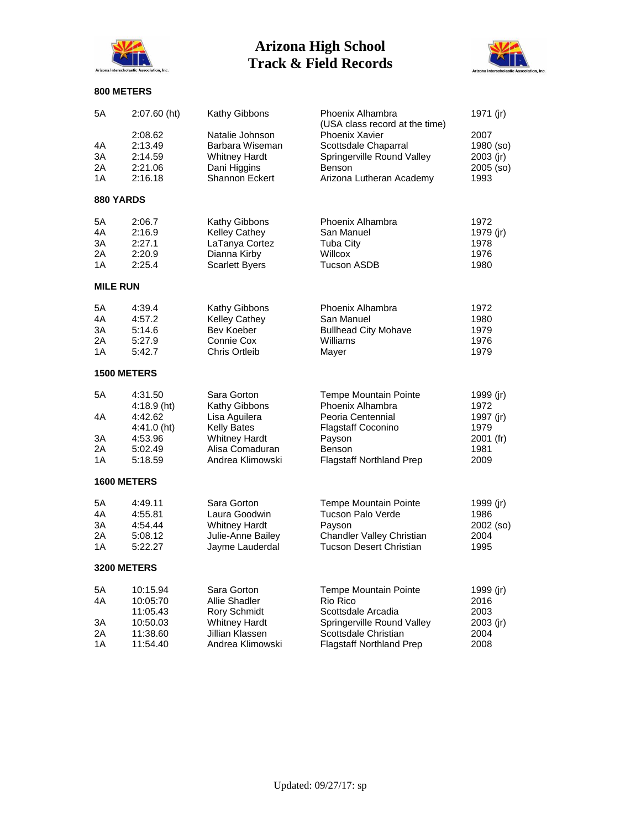



| 5A              | 2:07.60 (ht)       | <b>Kathy Gibbons</b>                    | Phoenix Alhambra<br>(USA class record at the time) | 1971 (jr)         |
|-----------------|--------------------|-----------------------------------------|----------------------------------------------------|-------------------|
|                 | 2:08.62            | Natalie Johnson                         | <b>Phoenix Xavier</b>                              | 2007              |
| 4Α              | 2:13.49            | Barbara Wiseman                         | Scottsdale Chaparral                               | 1980 (so)         |
| ЗA              | 2:14.59            | <b>Whitney Hardt</b>                    | Springerville Round Valley                         | 2003 (jr)         |
| 2Α              | 2:21.06            | Dani Higgins                            | <b>Benson</b>                                      | 2005 (so)         |
| 1Α              | 2:16.18            | Shannon Eckert                          | Arizona Lutheran Academy                           | 1993              |
| 880 YARDS       |                    |                                         |                                                    |                   |
| 5A              | 2:06.7             | Kathy Gibbons                           | Phoenix Alhambra                                   | 1972              |
| 4Α              | 2:16.9             | <b>Kelley Cathey</b>                    | San Manuel                                         | 1979 (jr)         |
| ЗA              | 2:27.1             | LaTanya Cortez                          | <b>Tuba City</b>                                   | 1978              |
| 2Α              | 2:20.9             | Dianna Kirby                            | Willcox                                            | 1976              |
| 1A              | 2:25.4             | <b>Scarlett Byers</b>                   | <b>Tucson ASDB</b>                                 | 1980              |
| <b>MILE RUN</b> |                    |                                         |                                                    |                   |
| 5А              | 4:39.4             | <b>Kathy Gibbons</b>                    | Phoenix Alhambra                                   | 1972              |
| 4Α              | 4:57.2             | <b>Kelley Cathey</b>                    | San Manuel                                         | 1980              |
| ЗA              | 5:14.6             | Bev Koeber                              | <b>Bullhead City Mohave</b>                        | 1979              |
| 2Α              | 5:27.9             | Connie Cox                              | Williams                                           | 1976              |
| 1Α              | 5:42.7             | Chris Ortleib                           | Mayer                                              | 1979              |
|                 | <b>1500 METERS</b> |                                         |                                                    |                   |
| 5Α              | 4:31.50            | Sara Gorton                             | <b>Tempe Mountain Pointe</b>                       | 1999 (jr)         |
|                 | $4:18.9$ (ht)      | Kathy Gibbons                           | Phoenix Alhambra                                   | 1972              |
| 4Α              | 4:42.62            | Lisa Aguilera                           | Peoria Centennial                                  | 1997 (jr)         |
|                 | $4:41.0$ (ht)      | <b>Kelly Bates</b>                      | <b>Flagstaff Coconino</b>                          | 1979              |
| 3A<br>2Α        | 4:53.96<br>5:02.49 | <b>Whitney Hardt</b><br>Alisa Comaduran | Payson<br><b>Benson</b>                            | 2001 (fr)<br>1981 |
| 1A              | 5:18.59            | Andrea Klimowski                        | <b>Flagstaff Northland Prep</b>                    | 2009              |
|                 |                    |                                         |                                                    |                   |
|                 | <b>1600 METERS</b> |                                         |                                                    |                   |
| 5А              | 4:49.11            | Sara Gorton                             | <b>Tempe Mountain Pointe</b>                       | 1999 (jr)         |
| 4Α              | 4:55.81            | Laura Goodwin                           | Tucson Palo Verde                                  | 1986              |
| ЗA              | 4:54.44            | <b>Whitney Hardt</b>                    | Payson                                             | 2002 (so)         |
| 2Α              | 5:08.12            | Julie-Anne Bailey                       | Chandler Valley Christian                          | 2004              |
| 1Α              | 5:22.27            | Jayme Lauderdal                         | <b>Tucson Desert Christian</b>                     | 1995              |
|                 | <b>3200 METERS</b> |                                         |                                                    |                   |
| 5A              | 10:15.94           | Sara Gorton                             | Tempe Mountain Pointe                              | 1999 (jr)         |
| 4A              | 10:05:70           | Allie Shadler                           | Rio Rico                                           | 2016              |
|                 | 11:05.43           | Rory Schmidt                            | Scottsdale Arcadia                                 | 2003              |
| 3A              | 10:50.03           | <b>Whitney Hardt</b>                    | Springerville Round Valley                         | $2003$ (jr)       |
| 2A              | 11:38.60           | Jillian Klassen                         | Scottsdale Christian                               | 2004              |
| 1A              | 11:54.40           | Andrea Klimowski                        | <b>Flagstaff Northland Prep</b>                    | 2008              |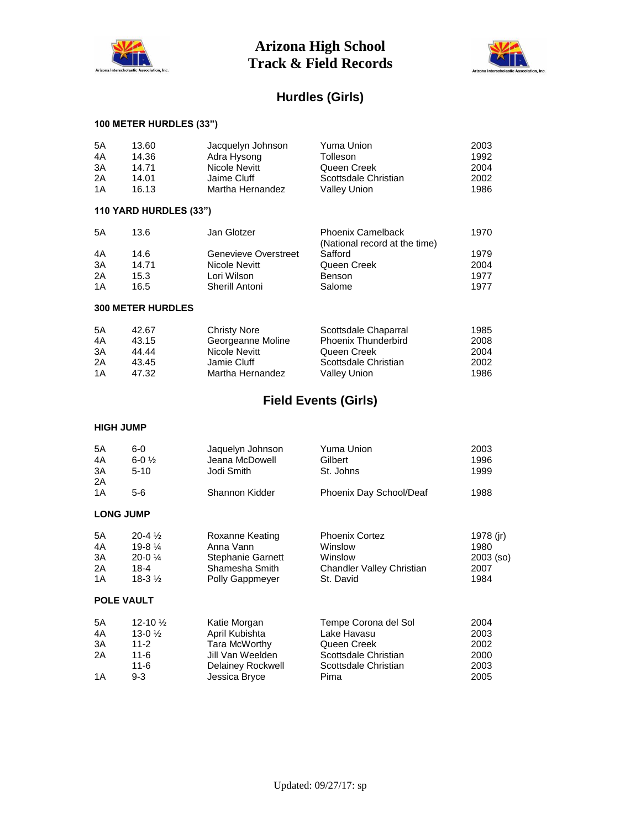



## **Hurdles (Girls)**

### **100 METER HURDLES (33")**

| 5A                | 13.60                    | Jacquelyn Johnson    | Yuma Union                                                | 2003        |
|-------------------|--------------------------|----------------------|-----------------------------------------------------------|-------------|
| 4A                | 14.36                    | Adra Hysong          | Tolleson                                                  | 1992        |
| 3A                | 14.71                    | Nicole Nevitt        | Queen Creek                                               | 2004        |
| 2Α                | 14.01                    | Jaime Cluff          | Scottsdale Christian                                      | 2002        |
|                   |                          |                      |                                                           |             |
| 1A                | 16.13                    | Martha Hernandez     | <b>Valley Union</b>                                       | 1986        |
|                   | 110 YARD HURDLES (33")   |                      |                                                           |             |
| 5Α                | 13.6                     | Jan Glotzer          | <b>Phoenix Camelback</b><br>(National record at the time) | 1970        |
| 4A                | 14.6                     | Genevieve Overstreet | Safford                                                   | 1979        |
| 3A                | 14.71                    | Nicole Nevitt        | Queen Creek                                               | 2004        |
|                   |                          |                      |                                                           |             |
| 2Α                | 15.3                     | Lori Wilson          | Benson                                                    | 1977        |
| 1A                | 16.5                     | Sherill Antoni       | Salome                                                    | 1977        |
|                   | <b>300 METER HURDLES</b> |                      |                                                           |             |
| 5A                | 42.67                    | <b>Christy Nore</b>  | Scottsdale Chaparral                                      | 1985        |
|                   |                          |                      |                                                           |             |
| 4A                | 43.15                    | Georgeanne Moline    | <b>Phoenix Thunderbird</b>                                | 2008        |
| ЗΑ                | 44.44                    | Nicole Nevitt        | Queen Creek                                               | 2004        |
| 2A                | 43.45                    | Jamie Cluff          | Scottsdale Christian                                      | 2002        |
| 1A                | 47.32                    | Martha Hernandez     | <b>Valley Union</b>                                       | 1986        |
|                   |                          |                      | <b>Field Events (Girls)</b>                               |             |
|                   |                          |                      |                                                           |             |
| <b>HIGH JUMP</b>  |                          |                      |                                                           |             |
| 5A                | $6-0$                    | Jaquelyn Johnson     | <b>Yuma Union</b>                                         | 2003        |
| 4A                | $6 - 0\frac{1}{2}$       | Jeana McDowell       | Gilbert                                                   | 1996        |
|                   |                          |                      |                                                           |             |
| ЗΑ                | $5 - 10$                 | Jodi Smith           | St. Johns                                                 | 1999        |
| 2A                |                          |                      |                                                           |             |
| 1A                | $5-6$                    | Shannon Kidder       | Phoenix Day School/Deaf                                   | 1988        |
| <b>LONG JUMP</b>  |                          |                      |                                                           |             |
| 5A                | $20 - 4\frac{1}{2}$      | Roxanne Keating      | <b>Phoenix Cortez</b>                                     | 1978 (jr)   |
| 4A                | $19-81/4$                | Anna Vann            | Winslow                                                   | 1980        |
| 3A                | 20-0 1/4                 | Stephanie Garnett    | Winslow                                                   |             |
|                   |                          |                      |                                                           | $2003$ (so) |
| 2Α                | $18 - 4$                 | Shamesha Smith       | Chandler Valley Christian                                 | 2007        |
| 1A                | $18-3\frac{1}{2}$        | Polly Gappmeyer      | St. David                                                 | 1984        |
| <b>POLE VAULT</b> |                          |                      |                                                           |             |
| 5A                | 12-10 1/2                | Katie Morgan         | Tempe Corona del Sol                                      | 2004        |
|                   |                          |                      | Lake Havasu                                               |             |
| 4A                | $13-02$                  | April Kubishta       |                                                           | 2003        |
| 3A                | $11 - 2$                 | Tara McWorthy        | Queen Creek                                               | 2002        |
| 2Α                | $11 - 6$                 | Jill Van Weelden     | Scottsdale Christian                                      | 2000        |

11-6 Delainey Rockwell Scottsdale Christian 2003

1A 9-3 Jessica Bryce Pima 2005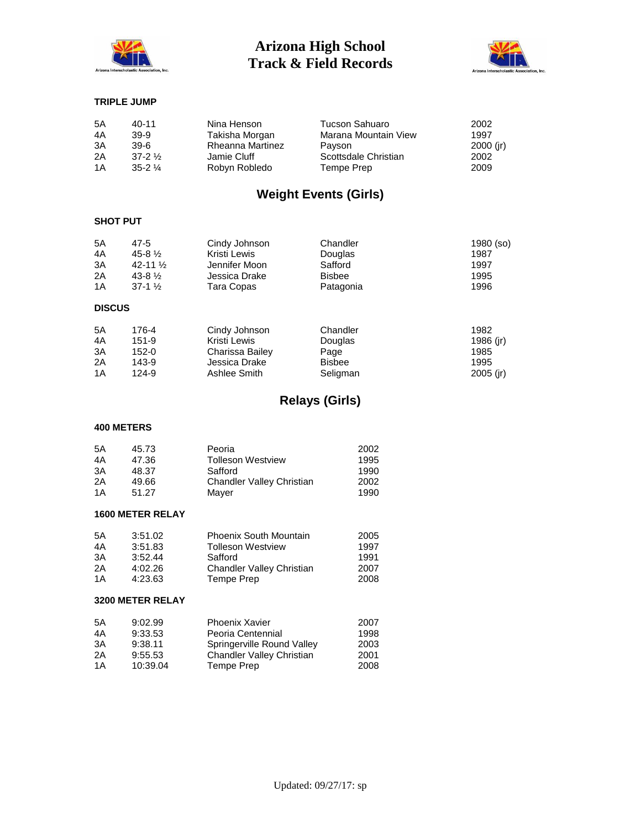



#### **TRIPLE JUMP**

| 5A<br>4A | $40 - 11$<br>39-9 | Nina Henson<br>Takisha Morgan | Tucson Sahuaro<br>Marana Mountain View | 2002<br>1997 |
|----------|-------------------|-------------------------------|----------------------------------------|--------------|
| 3A       | 39-6              | Rheanna Martinez              | Pavson                                 | $2000$ (ir)  |
| 2A       | $37-2\frac{1}{2}$ | Jamie Cluff                   | Scottsdale Christian                   | 2002         |
| 1A       | $35-21/4$         | Robyn Robledo                 | Tempe Prep                             | 2009         |

## **Weight Events (Girls)**

#### **SHOT PUT**

| 5A<br>4A<br>3A<br>2A<br>1A | 47-5<br>$45 - 8\frac{1}{2}$<br>$42 - 11\frac{1}{2}$<br>$43-8\frac{1}{2}$<br>$37-1\frac{1}{2}$ | Cindy Johnson<br>Kristi Lewis<br>Jennifer Moon<br>Jessica Drake<br>Tara Copas | Chandler<br>Douglas<br>Safford<br><b>Bisbee</b><br>Patagonia | 1980 (so)<br>1987<br>1997<br>1995<br>1996 |
|----------------------------|-----------------------------------------------------------------------------------------------|-------------------------------------------------------------------------------|--------------------------------------------------------------|-------------------------------------------|
| <b>DISCUS</b>              |                                                                                               |                                                                               |                                                              |                                           |
| 5A                         | 176-4                                                                                         | Cindy Johnson                                                                 | Chandler                                                     | 1982                                      |
| 4A                         | 151-9                                                                                         | Kristi Lewis                                                                  | Douglas                                                      | 1986 (ir)                                 |
| 3A                         | 152-0                                                                                         | Charissa Bailey                                                               | Page                                                         | 1985                                      |
| 2A                         | 143-9                                                                                         | Jessica Drake                                                                 | <b>Bisbee</b>                                                | 1995                                      |
| 1A                         | 124-9                                                                                         | Ashlee Smith                                                                  | Seliaman                                                     | 2005 (ir)                                 |

## **Relays (Girls)**

#### **400 METERS**

| 5Α  | 45.73 | Peoria                    | 2002 |
|-----|-------|---------------------------|------|
| 4A  | 47.36 | <b>Tolleson Westview</b>  | 1995 |
| 3A  | 48.37 | Safford                   | 1990 |
| 2A  | 49.66 | Chandler Valley Christian | 2002 |
| 1 A | 51.27 | Maver                     | 1990 |

#### **1600 METER RELAY**

| 5A | 3:51.02 | <b>Phoenix South Mountain</b>    | 2005 |
|----|---------|----------------------------------|------|
| 4A | 3:51.83 | <b>Tolleson Westview</b>         | 1997 |
| 3A | 3:52.44 | Safford                          | 1991 |
| 2A | 4:02.26 | <b>Chandler Valley Christian</b> | 2007 |
| 1A | 4:23.63 | Tempe Prep                       | 2008 |

#### **3200 METER RELAY**

| 5A | 9:02.99  | <b>Phoenix Xavier</b>      | 2007 |
|----|----------|----------------------------|------|
| 4A | 9:33.53  | Peoria Centennial          | 1998 |
| 3A | 9:38.11  | Springerville Round Valley | 2003 |
| 2A | 9:55.53  | Chandler Valley Christian  | 2001 |
| 1A | 10:39.04 | Tempe Prep                 | 2008 |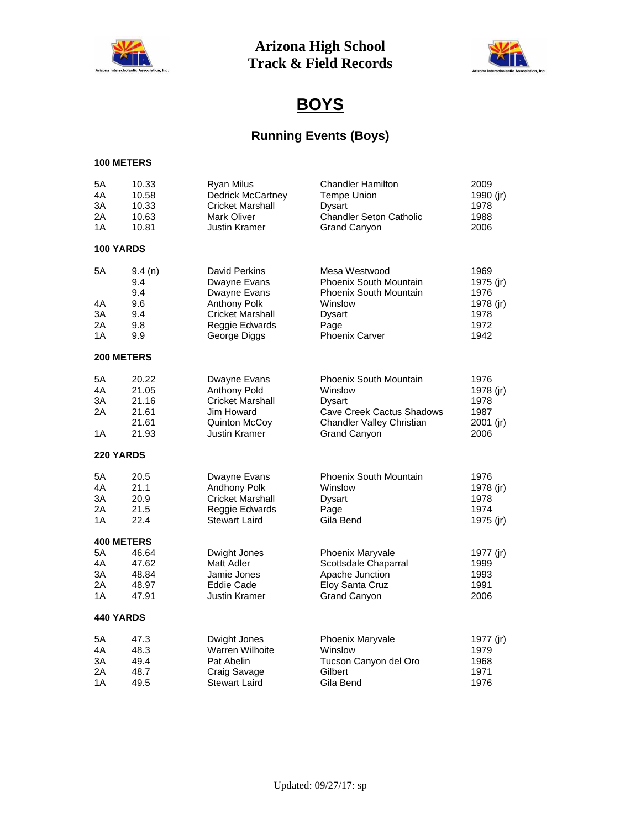



# **BOYS**

# **Running Events (Boys)**

| 5A<br>4A<br>3A<br>2A<br>1A | 10.33<br>10.58<br>10.33<br>10.63<br>10.81 | Ryan Milus<br><b>Dedrick McCartney</b><br><b>Cricket Marshall</b><br><b>Mark Oliver</b><br><b>Justin Kramer</b> | <b>Chandler Hamilton</b><br>Tempe Union<br><b>Dysart</b><br><b>Chandler Seton Catholic</b><br><b>Grand Canyon</b> | 2009<br>1990 (jr)<br>1978<br>1988<br>2006 |
|----------------------------|-------------------------------------------|-----------------------------------------------------------------------------------------------------------------|-------------------------------------------------------------------------------------------------------------------|-------------------------------------------|
| <b>100 YARDS</b>           |                                           |                                                                                                                 |                                                                                                                   |                                           |
| 5A<br>4A                   | 9.4(n)<br>9.4<br>9.4<br>9.6               | <b>David Perkins</b><br>Dwayne Evans<br>Dwayne Evans<br>Anthony Polk                                            | Mesa Westwood<br><b>Phoenix South Mountain</b><br><b>Phoenix South Mountain</b><br>Winslow                        | 1969<br>1975 (jr)<br>1976<br>1978 (jr)    |
| 3A                         | 9.4                                       | <b>Cricket Marshall</b>                                                                                         | <b>Dysart</b>                                                                                                     | 1978                                      |
| 2Α                         | 9.8                                       | Reggie Edwards                                                                                                  | Page                                                                                                              | 1972                                      |
| 1A                         | 9.9                                       | George Diggs                                                                                                    | <b>Phoenix Carver</b>                                                                                             | 1942                                      |
| 200 METERS                 |                                           |                                                                                                                 |                                                                                                                   |                                           |
| 5Α                         | 20.22                                     | Dwayne Evans                                                                                                    | <b>Phoenix South Mountain</b>                                                                                     | 1976                                      |
| 4A                         | 21.05                                     | Anthony Pold                                                                                                    | Winslow                                                                                                           | 1978 (jr)                                 |
| ЗA                         | 21.16                                     | <b>Cricket Marshall</b>                                                                                         | Dysart                                                                                                            | 1978                                      |
| 2A                         | 21.61                                     | Jim Howard                                                                                                      | <b>Cave Creek Cactus Shadows</b>                                                                                  | 1987                                      |
|                            | 21.61                                     | Quinton McCoy                                                                                                   | Chandler Valley Christian                                                                                         | $2001$ (jr)                               |
| 1A                         | 21.93                                     | <b>Justin Kramer</b>                                                                                            | <b>Grand Canyon</b>                                                                                               | 2006                                      |
| 220 YARDS                  |                                           |                                                                                                                 |                                                                                                                   |                                           |
| 5A                         | 20.5                                      | Dwayne Evans                                                                                                    | <b>Phoenix South Mountain</b>                                                                                     | 1976                                      |
| 4A                         | 21.1                                      | Andhony Polk                                                                                                    | Winslow                                                                                                           | 1978 (jr)                                 |
| 3A                         | 20.9                                      | <b>Cricket Marshall</b>                                                                                         | Dysart                                                                                                            | 1978                                      |
| 2Α                         | 21.5                                      | Reggie Edwards                                                                                                  | Page                                                                                                              | 1974                                      |
| 1A                         | 22.4                                      | <b>Stewart Laird</b>                                                                                            | Gila Bend                                                                                                         | 1975 (jr)                                 |
| <b>400 METERS</b>          |                                           |                                                                                                                 |                                                                                                                   |                                           |
| 5A                         | 46.64                                     | Dwight Jones                                                                                                    | <b>Phoenix Maryvale</b>                                                                                           | 1977 (jr)                                 |
| 4A                         | 47.62                                     | Matt Adler                                                                                                      | Scottsdale Chaparral                                                                                              | 1999                                      |
| 3A                         | 48.84                                     | Jamie Jones                                                                                                     | Apache Junction                                                                                                   | 1993                                      |
| 2A                         | 48.97                                     | Eddie Cade                                                                                                      | Eloy Santa Cruz                                                                                                   | 1991                                      |
| 1A                         | 47.91                                     | Justin Kramer                                                                                                   | <b>Grand Canyon</b>                                                                                               | 2006                                      |
| <b>440 YARDS</b>           |                                           |                                                                                                                 |                                                                                                                   |                                           |
| 5Α                         | 47.3                                      | Dwight Jones                                                                                                    | Phoenix Maryvale                                                                                                  | 1977 (jr)                                 |
| 4A                         | 48.3                                      | Warren Wilhoite                                                                                                 | Winslow                                                                                                           | 1979                                      |
| ЗΑ                         | 49.4                                      | Pat Abelin                                                                                                      | Tucson Canyon del Oro                                                                                             | 1968                                      |
| 2A                         | 48.7                                      | Craig Savage                                                                                                    | Gilbert                                                                                                           | 1971                                      |
| 1A                         | 49.5                                      | <b>Stewart Laird</b>                                                                                            | Gila Bend                                                                                                         | 1976                                      |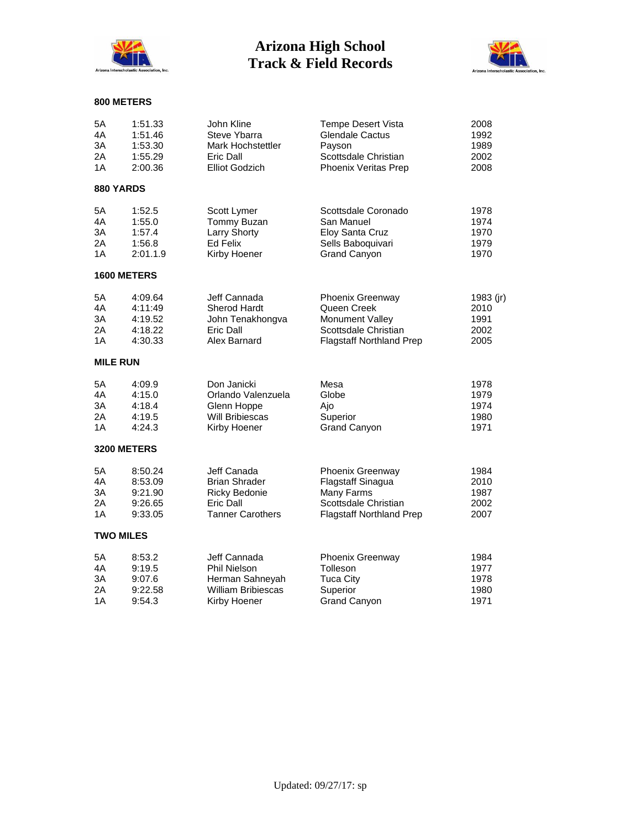



| 5A               | 1:51.33            | John Kline                | <b>Tempe Desert Vista</b>       | 2008      |
|------------------|--------------------|---------------------------|---------------------------------|-----------|
| 4A               | 1:51.46            | Steve Ybarra              | <b>Glendale Cactus</b>          | 1992      |
| 3A               | 1:53.30            | <b>Mark Hochstettler</b>  | Payson                          | 1989      |
| 2A               | 1:55.29            | Eric Dall                 | Scottsdale Christian            | 2002      |
| 1A               | 2:00.36            | <b>Elliot Godzich</b>     | Phoenix Veritas Prep            | 2008      |
| 880 YARDS        |                    |                           |                                 |           |
| 5A               | 1:52.5             | Scott Lymer               | Scottsdale Coronado             | 1978      |
| 4A               | 1:55.0             | Tommy Buzan               | San Manuel                      | 1974      |
| 3A               | 1:57.4             | Larry Shorty              | Eloy Santa Cruz                 | 1970      |
| 2A               | 1:56.8             | Ed Felix                  | Sells Baboquivari               | 1979      |
| 1A               | 2:01.1.9           | Kirby Hoener              | <b>Grand Canyon</b>             | 1970      |
|                  | <b>1600 METERS</b> |                           |                                 |           |
| 5A               | 4:09.64            | Jeff Cannada              | Phoenix Greenway                | 1983 (jr) |
| 4A               | 4:11:49            | <b>Sherod Hardt</b>       | Queen Creek                     | 2010      |
| 3A               | 4:19.52            | John Tenakhongva          | <b>Monument Vallev</b>          | 1991      |
| 2A               | 4:18.22            | Eric Dall                 | Scottsdale Christian            | 2002      |
| 1A               | 4:30.33            | Alex Barnard              | <b>Flagstaff Northland Prep</b> | 2005      |
| <b>MILE RUN</b>  |                    |                           |                                 |           |
| 5A               | 4:09.9             | Don Janicki               | Mesa                            | 1978      |
| 4A               | 4:15.0             | Orlando Valenzuela        | Globe                           | 1979      |
| 3A               | 4:18.4             | Glenn Hoppe               | Ajo                             | 1974      |
| 2A               | 4:19.5             | <b>Will Bribiescas</b>    | Superior                        | 1980      |
| 1A               | 4:24.3             | Kirby Hoener              | <b>Grand Canyon</b>             | 1971      |
|                  | 3200 METERS        |                           |                                 |           |
| 5A               | 8:50.24            | Jeff Canada               | Phoenix Greenway                | 1984      |
| 4A               | 8:53.09            | <b>Brian Shrader</b>      | Flagstaff Sinagua               | 2010      |
| 3A               | 9:21.90            | <b>Ricky Bedonie</b>      | Many Farms                      | 1987      |
| 2A               | 9:26.65            | Eric Dall                 | Scottsdale Christian            | 2002      |
| 1A               | 9:33.05            | <b>Tanner Carothers</b>   | <b>Flagstaff Northland Prep</b> | 2007      |
| <b>TWO MILES</b> |                    |                           |                                 |           |
| 5A               | 8:53.2             | Jeff Cannada              | Phoenix Greenway                | 1984      |
| 4A               | 9:19.5             | <b>Phil Nielson</b>       | Tolleson                        | 1977      |
| 3A               | 9:07.6             | Herman Sahneyah           | <b>Tuca City</b>                | 1978      |
| 2A               | 9:22.58            | <b>William Bribiescas</b> | Superior                        | 1980      |
| 1A               | 9:54.3             | Kirby Hoener              | <b>Grand Canyon</b>             | 1971      |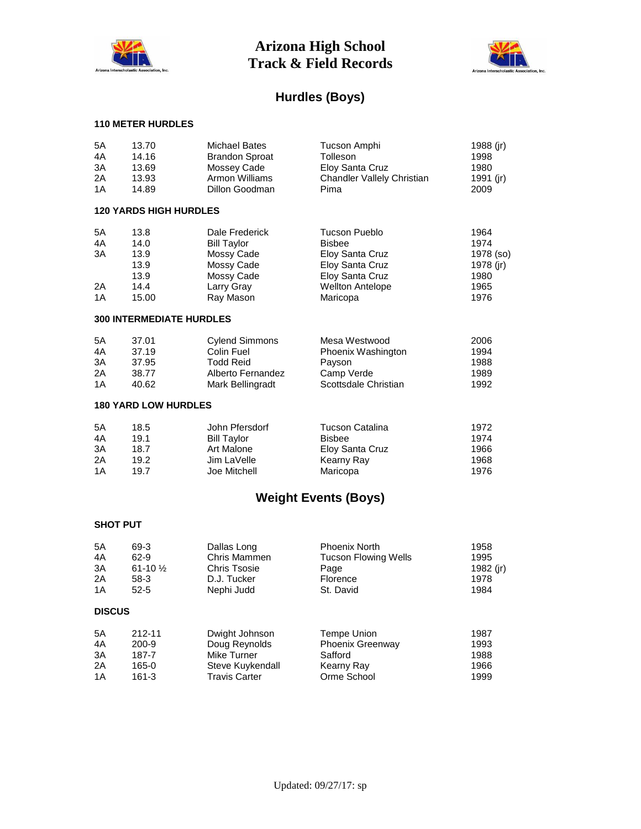



## **Hurdles (Boys)**

### **110 METER HURDLES**

| 5A<br>4A<br>3A<br>2A<br>1A | 13.70<br>14.16<br>13.69<br>13.93<br>14.89             | <b>Michael Bates</b><br><b>Brandon Sproat</b><br>Mossey Cade<br>Armon Williams<br>Dillon Goodman          | Tucson Amphi<br>Tolleson<br>Eloy Santa Cruz<br>Chandler Vallely Christian<br>Pima                                                     | 1988 (jr)<br>1998<br>1980<br>1991 (jr)<br>2009                 |
|----------------------------|-------------------------------------------------------|-----------------------------------------------------------------------------------------------------------|---------------------------------------------------------------------------------------------------------------------------------------|----------------------------------------------------------------|
|                            | <b>120 YARDS HIGH HURDLES</b>                         |                                                                                                           |                                                                                                                                       |                                                                |
| 5A<br>4A<br>3A<br>2A<br>1A | 13.8<br>14.0<br>13.9<br>13.9<br>13.9<br>14.4<br>15.00 | Dale Frederick<br><b>Bill Taylor</b><br>Mossy Cade<br>Mossy Cade<br>Mossy Cade<br>Larry Gray<br>Ray Mason | <b>Tucson Pueblo</b><br><b>Bisbee</b><br>Eloy Santa Cruz<br>Eloy Santa Cruz<br>Eloy Santa Cruz<br><b>Wellton Antelope</b><br>Maricopa | 1964<br>1974<br>1978 (so)<br>1978 (jr)<br>1980<br>1965<br>1976 |
|                            | <b>300 INTERMEDIATE HURDLES</b>                       |                                                                                                           |                                                                                                                                       |                                                                |
| 5A<br>4A<br>3A<br>2A<br>1A | 37.01<br>37.19<br>37.95<br>38.77<br>40.62             | <b>Cylend Simmons</b><br>Colin Fuel<br><b>Todd Reid</b><br>Alberto Fernandez<br>Mark Bellingradt          | Mesa Westwood<br>Phoenix Washington<br>Payson<br>Camp Verde<br>Scottsdale Christian                                                   | 2006<br>1994<br>1988<br>1989<br>1992                           |
|                            | <b>180 YARD LOW HURDLES</b>                           |                                                                                                           |                                                                                                                                       |                                                                |
| 5A<br>4A<br>3A<br>2A<br>1A | 18.5<br>19.1<br>18.7<br>19.2<br>19.7                  | John Pfersdorf<br><b>Bill Taylor</b><br>Art Malone<br>Jim LaVelle<br>Joe Mitchell                         | <b>Tucson Catalina</b><br><b>Bisbee</b><br>Eloy Santa Cruz<br>Kearny Ray<br>Maricopa                                                  | 1972<br>1974<br>1966<br>1968<br>1976                           |
|                            |                                                       |                                                                                                           |                                                                                                                                       |                                                                |

# **Weight Events (Boys)**

### **SHOT PUT**

| 5A<br>4A<br>3A<br>2A<br>1A | 69-3<br>$62-9$<br>61-10 $\frac{1}{2}$<br>$58-3$<br>$52 - 5$ | Dallas Long<br>Chris Mammen<br><b>Chris Tsosie</b><br>D.J. Tucker<br>Nephi Judd | <b>Phoenix North</b><br><b>Tucson Flowing Wells</b><br>Page<br>Florence<br>St. David | 1958<br>1995<br>1982 (jr)<br>1978<br>1984 |
|----------------------------|-------------------------------------------------------------|---------------------------------------------------------------------------------|--------------------------------------------------------------------------------------|-------------------------------------------|
| <b>DISCUS</b>              |                                                             |                                                                                 |                                                                                      |                                           |
| 5A                         | 212-11                                                      | Dwight Johnson                                                                  | Tempe Union                                                                          | 1987                                      |
| 4A                         | $200-9$                                                     | Doug Reynolds                                                                   | <b>Phoenix Greenway</b>                                                              | 1993                                      |
| 3A                         | 187-7                                                       | Mike Turner                                                                     | Safford                                                                              | 1988                                      |
| 2A                         | 165-0                                                       | Steve Kuykendall                                                                | Kearny Ray                                                                           | 1966                                      |
| 1A                         | $161 - 3$                                                   | <b>Travis Carter</b>                                                            | Orme School                                                                          | 1999                                      |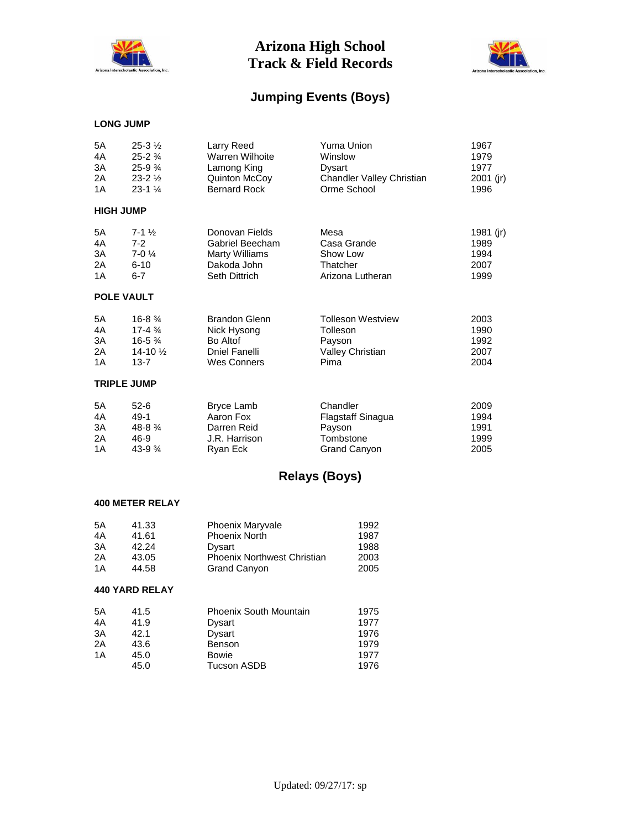



## **Jumping Events (Boys)**

#### **LONG JUMP**

| 5A                 | $25 - 3\frac{1}{2}$  | Larry Reed             | Yuma Union                | 1967        |  |
|--------------------|----------------------|------------------------|---------------------------|-------------|--|
| 4A                 | $25 - 2\frac{3}{4}$  | <b>Warren Wilhoite</b> | Winslow                   | 1979        |  |
| 3A                 | $25-93/4$            | Lamong King            | Dysart                    | 1977        |  |
| 2A                 | $23 - 2\frac{1}{2}$  | Quinton McCoy          | Chandler Valley Christian | $2001$ (jr) |  |
| 1A                 | $23 - 1\frac{1}{4}$  | <b>Bernard Rock</b>    | Orme School               | 1996        |  |
| <b>HIGH JUMP</b>   |                      |                        |                           |             |  |
| 5A                 | $7 - 1\frac{1}{2}$   | Donovan Fields         | Mesa                      | 1981 (jr)   |  |
| 4A                 | $7 - 2$              | Gabriel Beecham        | Casa Grande               | 1989        |  |
| 3A                 | $7-01/4$             | <b>Marty Williams</b>  | Show Low                  | 1994        |  |
| 2A                 | $6 - 10$             | Dakoda John            | Thatcher                  | 2007        |  |
| 1A                 | $6 - 7$              | <b>Seth Dittrich</b>   | Arizona Lutheran          | 1999        |  |
|                    | <b>POLE VAULT</b>    |                        |                           |             |  |
| 5A                 | $16 - 8 \frac{3}{4}$ | <b>Brandon Glenn</b>   | <b>Tolleson Westview</b>  | 2003        |  |
| 4A                 | $17 - 4\frac{3}{4}$  | Nick Hysong            | Tolleson                  | 1990        |  |
| 3A                 | $16 - 5\frac{3}{4}$  | Bo Altof               | Payson                    | 1992        |  |
| 2A                 | $14 - 10\frac{1}{2}$ | Dniel Fanelli          | <b>Valley Christian</b>   | 2007        |  |
| 1A                 | $13 - 7$             | <b>Wes Conners</b>     | Pima                      | 2004        |  |
| <b>TRIPLE JUMP</b> |                      |                        |                           |             |  |
| 5A                 | $52-6$               | Bryce Lamb             | Chandler                  | 2009        |  |
| 4A                 | $49-1$               | Aaron Fox              | Flagstaff Sinagua         | 1994        |  |
| 3A                 | 48-8 3/4             | Darren Reid            | Payson                    | 1991        |  |
| 2A                 | 46-9                 | J.R. Harrison          | Tombstone                 | 1999        |  |
| 1A                 | $43-9.34$            | Ryan Eck               | <b>Grand Canyon</b>       | 2005        |  |

## **Relays (Boys)**

#### **400 METER RELAY**

| 5Α | 41.33 | <b>Phoenix Maryvale</b>            | 1992 |
|----|-------|------------------------------------|------|
| 4A | 41.61 | <b>Phoenix North</b>               | 1987 |
| 3A | 42.24 | Dysart                             | 1988 |
| 2A | 43.05 | <b>Phoenix Northwest Christian</b> | 2003 |
| 1Α | 44.58 | <b>Grand Canyon</b>                | 2005 |

### **440 YARD RELAY**

| 5A | 41.5 | <b>Phoenix South Mountain</b> | 1975 |
|----|------|-------------------------------|------|
| 4A | 41.9 | Dysart                        | 1977 |
| 3A | 42.1 | Dysart                        | 1976 |
| 2A | 43.6 | Benson                        | 1979 |
| 1A | 45.0 | Bowie                         | 1977 |
|    | 45.0 | <b>Tucson ASDB</b>            | 1976 |